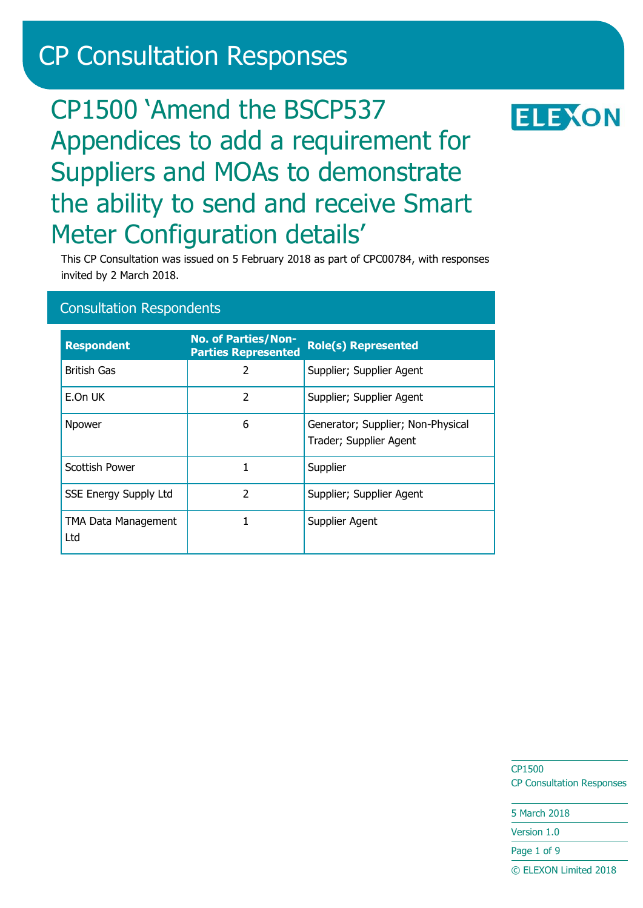# CP Consultation Responses

# CP1500 'Amend the BSCP537 Appendices to add a requirement for Suppliers and MOAs to demonstrate the ability to send and receive Smart Meter Configuration details'

This CP Consultation was issued on 5 February 2018 as part of CPC00784, with responses invited by 2 March 2018.

## Consultation Respondents

| <b>Respondent</b>            | <b>No. of Parties/Non-</b><br><b>Parties Represented</b> | <b>Role(s) Represented</b>                                  |
|------------------------------|----------------------------------------------------------|-------------------------------------------------------------|
| <b>British Gas</b>           | 2                                                        | Supplier; Supplier Agent                                    |
| E.On UK                      | $\mathfrak z$                                            | Supplier; Supplier Agent                                    |
| Npower                       | 6                                                        | Generator; Supplier; Non-Physical<br>Trader; Supplier Agent |
| <b>Scottish Power</b>        |                                                          | Supplier                                                    |
| <b>SSE Energy Supply Ltd</b> | $\overline{\mathcal{L}}$                                 | Supplier; Supplier Agent                                    |
| TMA Data Management<br>Ltd   |                                                          | Supplier Agent                                              |

CP1500 CP Consultation Responses

5 March 2018

Version 1.0

Page 1 of 9

© ELEXON Limited 2018

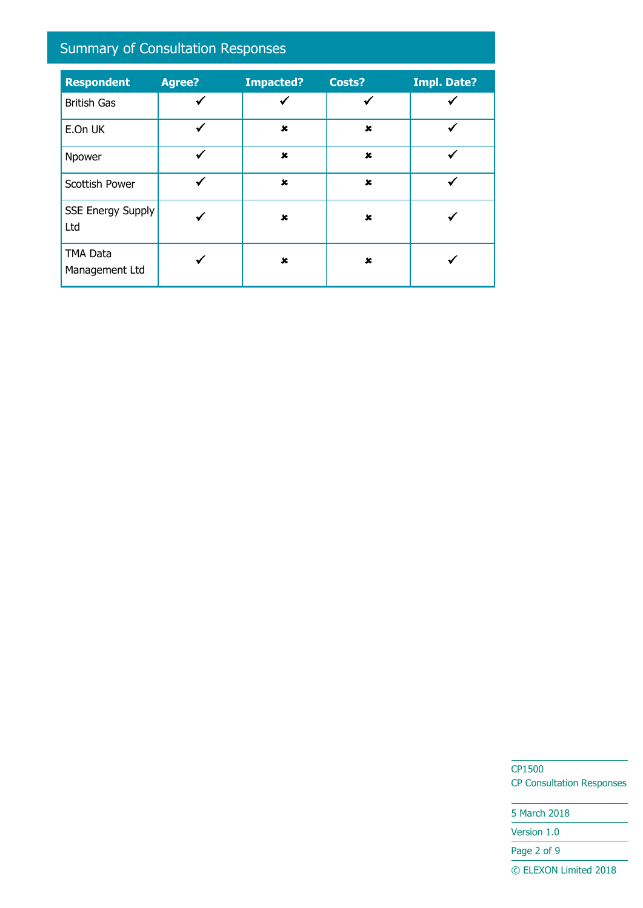# Summary of Consultation Responses

| <b>Respondent</b>                 | <b>Agree?</b> | <b>Impacted?</b> | Costs?         | <b>Impl. Date?</b> |
|-----------------------------------|---------------|------------------|----------------|--------------------|
| <b>British Gas</b>                | ✓             | ✓                | ✔              |                    |
| E.On UK                           | ✓             | $\pmb{x}$        | ×              |                    |
| Npower                            | ✓             | $\pmb{x}$        | $\pmb{\times}$ |                    |
| Scottish Power                    |               | $\mathbf x$      | $\mathbf x$    |                    |
| <b>SSE Energy Supply</b><br>Ltd   |               | $\mathbf x$      | ×              |                    |
| <b>TMA Data</b><br>Management Ltd |               | $\pmb{x}$        | ×              |                    |

CP1500 CP Consultation Responses

5 March 2018 Version 1.0 Page 2 of 9 © ELEXON Limited 2018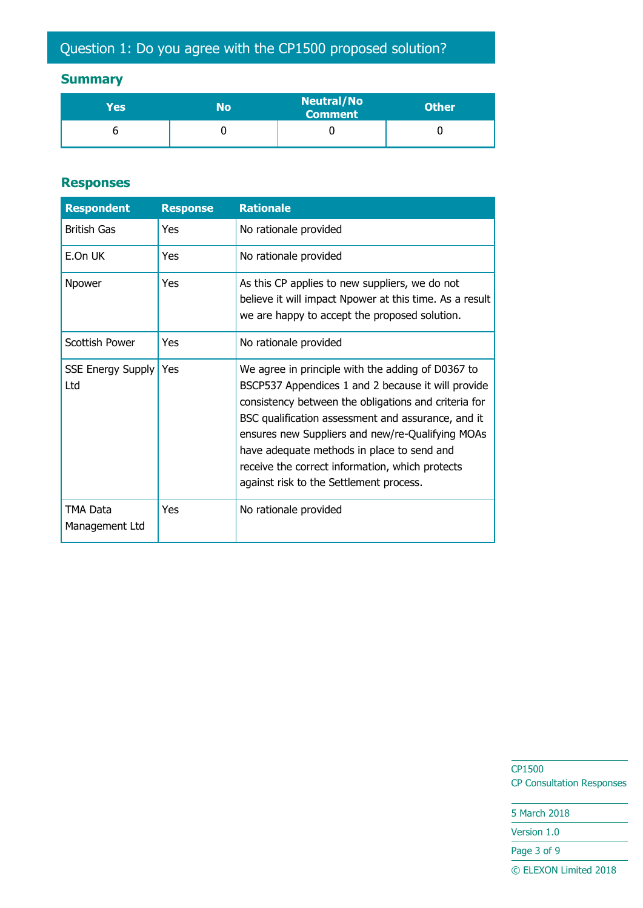## **Summary**

| Yes | No | <b>Neutral/No</b><br><b>Comment</b> | <b>Other</b> |
|-----|----|-------------------------------------|--------------|
|     |    |                                     |              |

#### **Responses**

| <b>Respondent</b>               | <b>Response</b> | <b>Rationale</b>                                                                                                                                                                                                                                                                                                                                                                                                      |
|---------------------------------|-----------------|-----------------------------------------------------------------------------------------------------------------------------------------------------------------------------------------------------------------------------------------------------------------------------------------------------------------------------------------------------------------------------------------------------------------------|
| <b>British Gas</b>              | Yes             | No rationale provided                                                                                                                                                                                                                                                                                                                                                                                                 |
| E.On UK                         | Yes             | No rationale provided                                                                                                                                                                                                                                                                                                                                                                                                 |
| Npower                          | Yes             | As this CP applies to new suppliers, we do not<br>believe it will impact Npower at this time. As a result<br>we are happy to accept the proposed solution.                                                                                                                                                                                                                                                            |
| Scottish Power                  | Yes             | No rationale provided                                                                                                                                                                                                                                                                                                                                                                                                 |
| <b>SSE Energy Supply</b><br>Ltd | Yes             | We agree in principle with the adding of D0367 to<br>BSCP537 Appendices 1 and 2 because it will provide<br>consistency between the obligations and criteria for<br>BSC qualification assessment and assurance, and it<br>ensures new Suppliers and new/re-Qualifying MOAs<br>have adequate methods in place to send and<br>receive the correct information, which protects<br>against risk to the Settlement process. |
| TMA Data<br>Management Ltd      | Yes             | No rationale provided                                                                                                                                                                                                                                                                                                                                                                                                 |

CP1500 CP Consultation Responses

5 March 2018 Version 1.0

Page 3 of 9

© ELEXON Limited 2018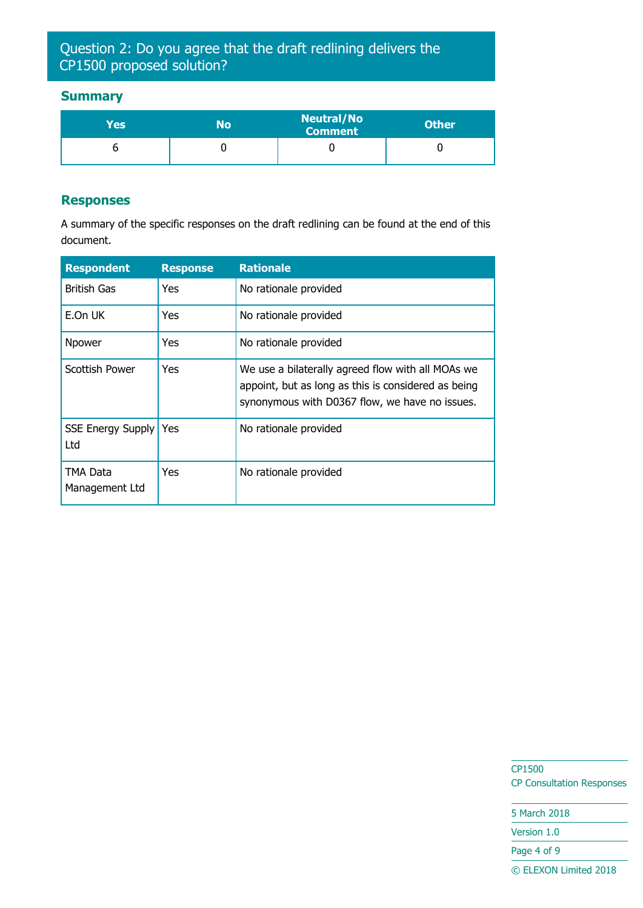## Question 2: Do you agree that the draft redlining delivers the CP1500 proposed solution?

#### **Summary**

| Yes' | N٥ | <b>Neutral/No</b><br><b>Comment</b> | <b>Other</b> |
|------|----|-------------------------------------|--------------|
|      |    |                                     |              |

#### **Responses**

A summary of the specific responses on the draft redlining can be found at the end of this document.

| <b>Respondent</b>               | <b>Response</b> | <b>Rationale</b>                                                                                                                                           |
|---------------------------------|-----------------|------------------------------------------------------------------------------------------------------------------------------------------------------------|
| <b>British Gas</b>              | Yes             | No rationale provided                                                                                                                                      |
| E.On UK                         | Yes             | No rationale provided                                                                                                                                      |
| Npower                          | Yes             | No rationale provided                                                                                                                                      |
| Scottish Power                  | Yes             | We use a bilaterally agreed flow with all MOAs we<br>appoint, but as long as this is considered as being<br>synonymous with D0367 flow, we have no issues. |
| <b>SSE Energy Supply</b><br>Ltd | Yes             | No rationale provided                                                                                                                                      |
| TMA Data<br>Management Ltd      | Yes             | No rationale provided                                                                                                                                      |

CP1500 CP Consultation Responses

5 March 2018 Version 1.0

Page 4 of 9

© ELEXON Limited 2018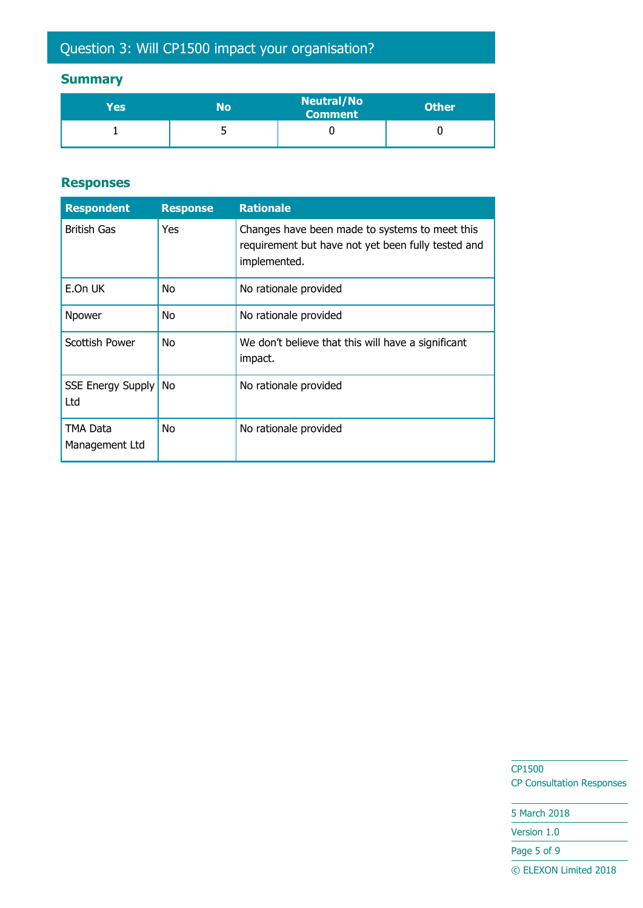# Question 3: Will CP1500 impact your organisation?

## **Summary**

| Yes | No | <b>Neutral/No</b><br><b>Comment</b> | <b>Other</b> |
|-----|----|-------------------------------------|--------------|
|     | ں  |                                     |              |

#### **Responses**

| <b>Respondent</b>               | <b>Response</b> | <b>Rationale</b>                                                                                                     |
|---------------------------------|-----------------|----------------------------------------------------------------------------------------------------------------------|
| <b>British Gas</b>              | Yes             | Changes have been made to systems to meet this<br>requirement but have not yet been fully tested and<br>implemented. |
| E.On UK                         | No              | No rationale provided                                                                                                |
| Npower                          | No              | No rationale provided                                                                                                |
| <b>Scottish Power</b>           | No              | We don't believe that this will have a significant<br>impact.                                                        |
| <b>SSE Energy Supply</b><br>Ltd | No              | No rationale provided                                                                                                |
| TMA Data<br>Management Ltd      | No              | No rationale provided                                                                                                |

CP1500 CP Consultation Responses

5 March 2018 Version 1.0 Page 5 of 9 © ELEXON Limited 2018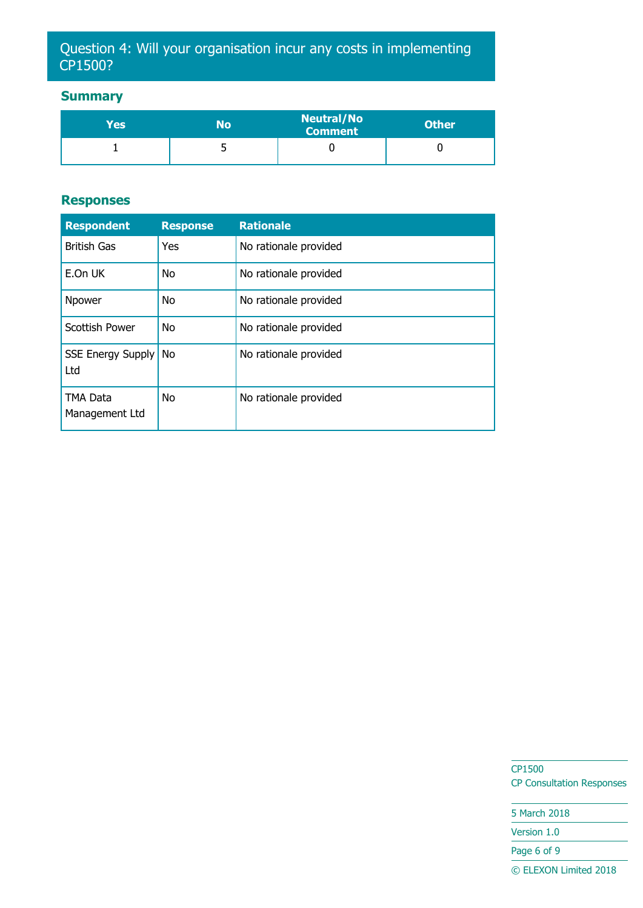## Question 4: Will your organisation incur any costs in implementing CP1500?

### **Summary**

| Yes' | N٥ | <b>Neutral/No</b><br><b>Comment</b> | <b>Other</b> |
|------|----|-------------------------------------|--------------|
|      | ັ  |                                     |              |

#### **Responses**

| <b>Respondent</b>                 | <b>Response</b> | <b>Rationale</b>      |
|-----------------------------------|-----------------|-----------------------|
| <b>British Gas</b>                | Yes             | No rationale provided |
| E.On UK                           | <b>No</b>       | No rationale provided |
| Npower                            | <b>No</b>       | No rationale provided |
| <b>Scottish Power</b>             | <b>No</b>       | No rationale provided |
| <b>SSE Energy Supply</b><br>Ltd   | <b>No</b>       | No rationale provided |
| <b>TMA Data</b><br>Management Ltd | <b>No</b>       | No rationale provided |

CP1500 CP Consultation Responses

5 March 2018 Version 1.0 Page 6 of 9 © ELEXON Limited 2018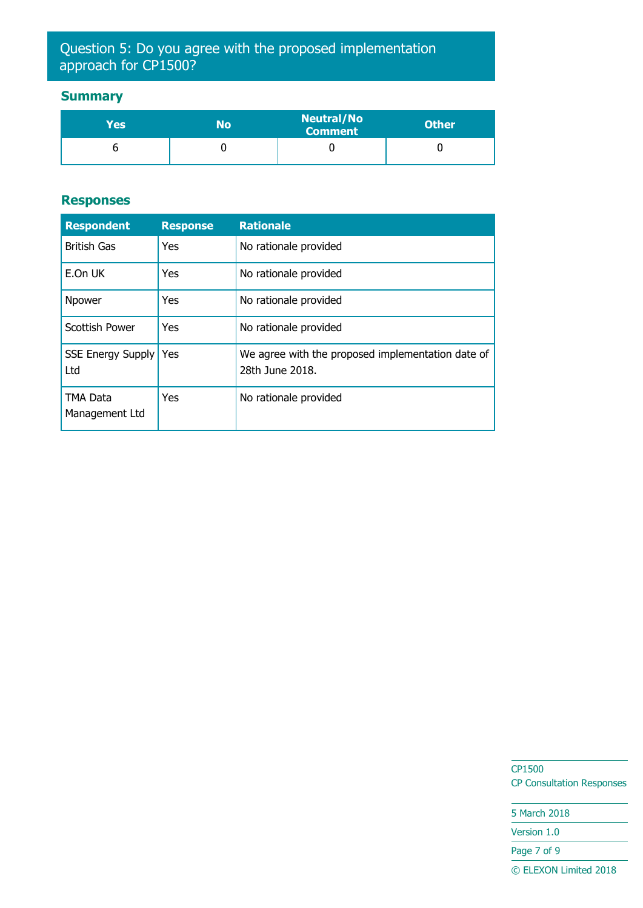## Question 5: Do you agree with the proposed implementation approach for CP1500?

### **Summary**

| Yes' | No | <b>Neutral/No</b><br><b>Comment</b> | <b>Other</b> |
|------|----|-------------------------------------|--------------|
|      |    |                                     |              |

#### **Responses**

| <b>Respondent</b>               | <b>Response</b> | <b>Rationale</b>                                                     |
|---------------------------------|-----------------|----------------------------------------------------------------------|
| <b>British Gas</b>              | Yes             | No rationale provided                                                |
| E.On UK                         | Yes             | No rationale provided                                                |
| Npower                          | Yes             | No rationale provided                                                |
| <b>Scottish Power</b>           | Yes             | No rationale provided                                                |
| <b>SSE Energy Supply</b><br>Ltd | Yes             | We agree with the proposed implementation date of<br>28th June 2018. |
| TMA Data<br>Management Ltd      | Yes             | No rationale provided                                                |

CP1500 CP Consultation Responses

5 March 2018 Version 1.0 Page 7 of 9 © ELEXON Limited 2018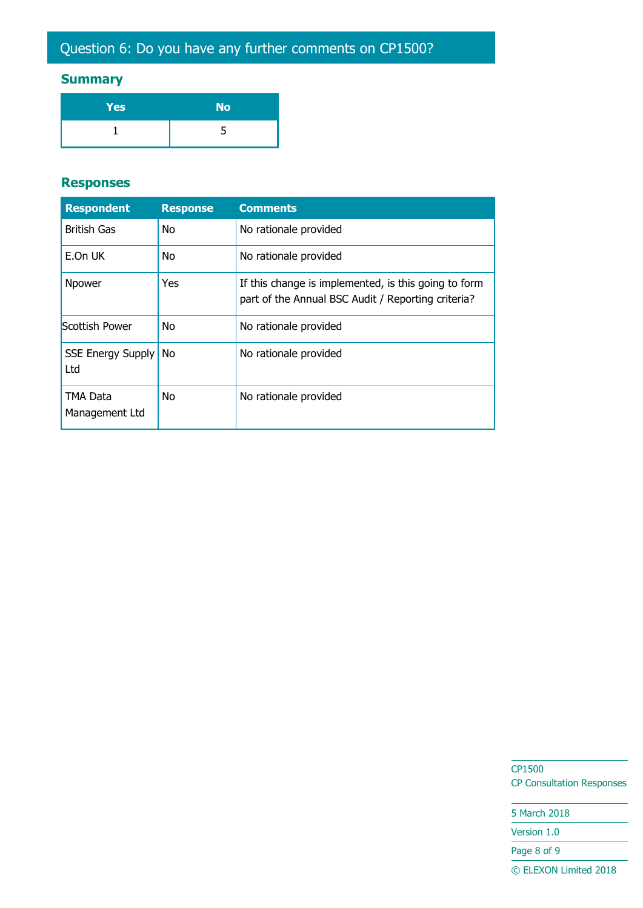### **Summary**

| Yes | <b>No</b> |
|-----|-----------|
|     |           |

#### **Responses**

| <b>Respondent</b>               | <b>Response</b> | <b>Comments</b>                                                                                            |
|---------------------------------|-----------------|------------------------------------------------------------------------------------------------------------|
| <b>British Gas</b>              | No              | No rationale provided                                                                                      |
| E.On UK                         | No.             | No rationale provided                                                                                      |
| Npower                          | Yes             | If this change is implemented, is this going to form<br>part of the Annual BSC Audit / Reporting criteria? |
| Scottish Power                  | No.             | No rationale provided                                                                                      |
| <b>SSE Energy Supply</b><br>Ltd | <b>No</b>       | No rationale provided                                                                                      |
| TMA Data<br>Management Ltd      | No.             | No rationale provided                                                                                      |

CP1500 CP Consultation Responses

5 March 2018 Version 1.0 Page 8 of 9 © ELEXON Limited 2018